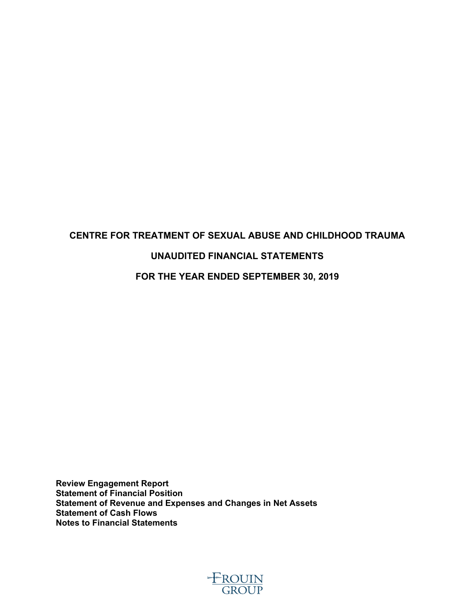# **CENTRE FOR TREATMENT OF SEXUAL ABUSE AND CHILDHOOD TRAUMA UNAUDITED FINANCIAL STATEMENTS FOR THE YEAR ENDED SEPTEMBER 30, 2019**

**Review Engagement Report Statement of Financial Position Statement of Revenue and Expenses and Changes in Net Assets Statement of Cash Flows Notes to Financial Statements**

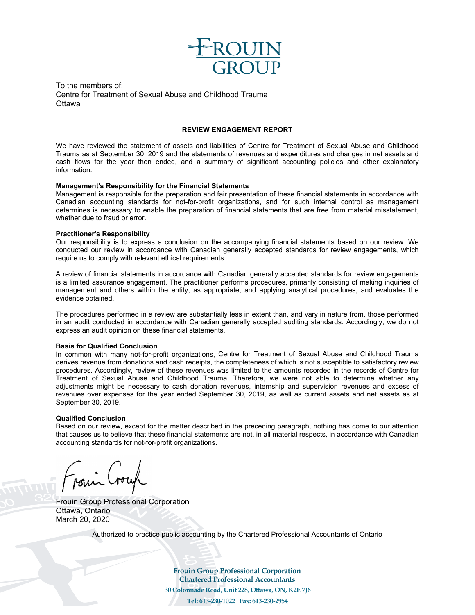

To the members of: Centre for Treatment of Sexual Abuse and Childhood Trauma **Ottawa** 

#### **REVIEW ENGAGEMENT REPORT**

We have reviewed the statement of assets and liabilities of Centre for Treatment of Sexual Abuse and Childhood Trauma as at September 30, 2019 and the statements of revenues and expenditures and changes in net assets and cash flows for the year then ended, and a summary of significant accounting policies and other explanatory information.

#### **Management's Responsibility for the Financial Statements**

Management is responsible for the preparation and fair presentation of these financial statements in accordance with Canadian accounting standards for not-for-profit organizations, and for such internal control as management determines is necessary to enable the preparation of financial statements that are free from material misstatement, whether due to fraud or error.

#### **Practitioner's Responsibility**

Our responsibility is to express a conclusion on the accompanying financial statements based on our review. We conducted our review in accordance with Canadian generally accepted standards for review engagements, which require us to comply with relevant ethical requirements.

A review of financial statements in accordance with Canadian generally accepted standards for review engagements is a limited assurance engagement. The practitioner performs procedures, primarily consisting of making inquiries of management and others within the entity, as appropriate, and applying analytical procedures, and evaluates the evidence obtained.

The procedures performed in a review are substantially less in extent than, and vary in nature from, those performed in an audit conducted in accordance with Canadian generally accepted auditing standards. Accordingly, we do not express an audit opinion on these financial statements.

#### **Basis for Qualified Conclusion**

In common with many not-for-profit organizations, Centre for Treatment of Sexual Abuse and Childhood Trauma derives revenue from donations and cash receipts, the completeness of which is not susceptible to satisfactory review procedures. Accordingly, review of these revenues was limited to the amounts recorded in the records of Centre for Treatment of Sexual Abuse and Childhood Trauma. Therefore, we were not able to determine whether any adjustments might be necessary to cash donation revenues, internship and supervision revenues and excess of revenues over expenses for the year ended September 30, 2019, as well as current assets and net assets as at September 30, 2019.

#### **Qualified Conclusion**

Based on our review, except for the matter described in the preceding paragraph, nothing has come to our attention that causes us to believe that these financial statements are not, in all material respects, in accordance with Canadian accounting standards for not-for-profit organizations.

Frouin Group Professional Corporation Ottawa, Ontario March 20, 2020

Authorized to practice public accounting by the Chartered Professional Accountants of Ontario

**Frouin Group Professional Corporation Chartered Professional Accountants 30 Colonnade Road, Unit 228, Ottawa, ON, K2E 7J6 Tel: 613-230-1022 Fax: 613-230-2954**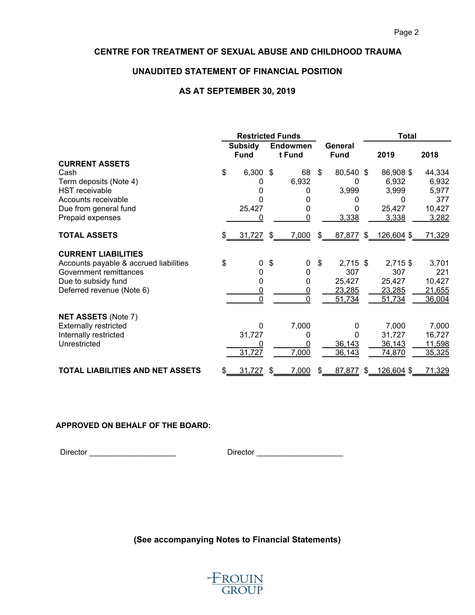### **UNAUDITED STATEMENT OF FINANCIAL POSITION**

#### **AS AT SEPTEMBER 30, 2019**

|                                         | <b>Restricted Funds</b> |                               |    |                           | <b>Total</b>           |                      |        |
|-----------------------------------------|-------------------------|-------------------------------|----|---------------------------|------------------------|----------------------|--------|
|                                         |                         | <b>Subsidy</b><br><b>Fund</b> |    | <b>Endowmen</b><br>t Fund | General<br><b>Fund</b> | 2019                 | 2018   |
| <b>CURRENT ASSETS</b>                   |                         |                               |    |                           |                        |                      |        |
| Cash                                    | \$                      | $6,300$ \$                    |    | 68                        | \$<br>80,540 \$        | 86,908 \$            | 44,334 |
| Term deposits (Note 4)                  |                         | 0                             |    | 6,932                     |                        | 6,932                | 6,932  |
| <b>HST</b> receivable                   |                         | O                             |    | 0                         | 3,999                  | 3,999                | 5,977  |
| Accounts receivable                     |                         | 0                             |    |                           |                        | 0                    | 377    |
| Due from general fund                   |                         | 25,427                        |    | 0                         | 0                      | 25,427               | 10,427 |
| Prepaid expenses                        |                         | 0                             |    | $\Omega$                  | 3,338                  | 3,338                | 3,282  |
| <b>TOTAL ASSETS</b>                     |                         | 31,727                        | \$ | 7,000                     | \$                     | 87,877 \$ 126,604 \$ | 71,329 |
| <b>CURRENT LIABILITIES</b>              |                         |                               |    |                           |                        |                      |        |
| Accounts payable & accrued liabilities  | \$                      | 0                             | \$ | 0                         | \$<br>2,715 \$         | 2,715 \$             | 3,701  |
| Government remittances                  |                         | 0                             |    | 0                         | 307                    | 307                  | 221    |
| Due to subsidy fund                     |                         | 0                             |    | 0                         | 25,427                 | 25,427               | 10,427 |
| Deferred revenue (Note 6)               |                         | 0                             |    | 0                         | 23,285                 | 23,285               | 21,655 |
|                                         |                         | $\Omega$                      |    | 0                         | 51,734                 | 51,734               | 36,004 |
| <b>NET ASSETS (Note 7)</b>              |                         |                               |    |                           |                        |                      |        |
| <b>Externally restricted</b>            |                         | $\Omega$                      |    | 7,000                     | 0                      | 7,000                | 7,000  |
| Internally restricted                   |                         | 31,727                        |    | 0                         | 0                      | 31,727               | 16,727 |
| Unrestricted                            |                         |                               |    |                           | 36,143                 | 36,143               | 11,598 |
|                                         |                         | 31,727                        |    | 7,000                     | 36,143                 | 74,870               | 35,325 |
| <b>TOTAL LIABILITIES AND NET ASSETS</b> | S.                      | 31,727                        | \$ | 7,000                     | \$<br>87,877<br>\$     | 126,604 \$           | 71,329 |

#### **APPROVED ON BEHALF OF THE BOARD:**

Director \_\_\_\_\_\_\_\_\_\_\_\_\_\_\_\_\_\_\_\_ Director \_\_\_\_\_\_\_\_\_\_\_\_\_\_\_\_\_\_\_\_

**(See accompanying Notes to Financial Statements)**

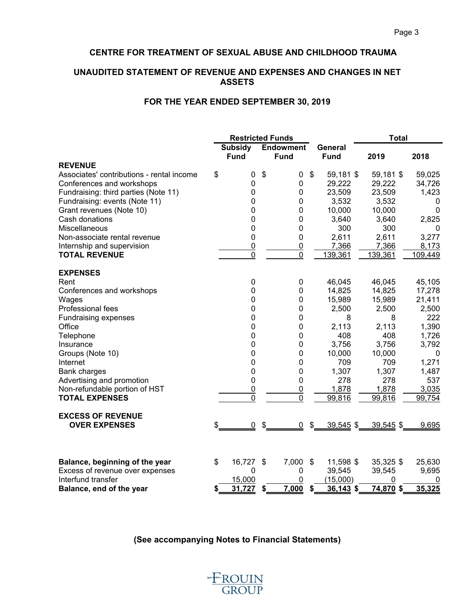# **UNAUDITED STATEMENT OF REVENUE AND EXPENSES AND CHANGES IN NET ASSETS**

## **FOR THE YEAR ENDED SEPTEMBER 30, 2019**

|                                           | <b>Restricted Funds</b> |                               |               |                                 | <b>Total</b>              |                        |             |              |
|-------------------------------------------|-------------------------|-------------------------------|---------------|---------------------------------|---------------------------|------------------------|-------------|--------------|
|                                           |                         | <b>Subsidy</b><br><b>Fund</b> |               | <b>Endowment</b><br><b>Fund</b> |                           | General<br><b>Fund</b> | 2019        | 2018         |
| <b>REVENUE</b>                            |                         |                               |               |                                 |                           |                        |             |              |
| Associates' contributions - rental income | \$                      | 0                             | \$            | 0                               | $\boldsymbol{\mathsf{s}}$ | 59,181 \$              | 59,181 \$   | 59,025       |
| Conferences and workshops                 |                         | 0                             |               | 0                               |                           | 29,222                 | 29,222      | 34,726       |
| Fundraising: third parties (Note 11)      |                         | 0                             |               | 0                               |                           | 23,509                 | 23,509      | 1,423        |
| Fundraising: events (Note 11)             |                         | 0                             |               | 0                               |                           | 3,532                  | 3,532       | 0            |
| Grant revenues (Note 10)                  |                         | $\mathbf 0$                   |               | 0                               |                           | 10,000                 | 10,000      | 0            |
| Cash donations                            |                         | $\mathbf 0$                   |               | 0                               |                           | 3,640                  | 3,640       | 2,825        |
| Miscellaneous                             |                         | 0                             |               | 0                               |                           | 300                    | 300         | 0            |
| Non-associate rental revenue              |                         | 0                             |               | 0                               |                           | 2,611                  | 2,611       | 3,277        |
| Internship and supervision                |                         | $\overline{0}$                |               | $\overline{0}$                  |                           | 7,366                  | 7,366       | 8,173        |
| <b>TOTAL REVENUE</b>                      |                         | $\overline{0}$                |               | $\overline{0}$                  |                           | 139,361                | 139,361     | 109,449      |
| <b>EXPENSES</b>                           |                         |                               |               |                                 |                           |                        |             |              |
| Rent                                      |                         | 0                             |               | 0                               |                           | 46,045                 | 46,045      | 45,105       |
| Conferences and workshops                 |                         | 0                             |               | 0                               |                           | 14,825                 | 14,825      | 17,278       |
| Wages                                     |                         | 0                             |               | 0                               |                           | 15,989                 | 15,989      | 21,411       |
| Professional fees                         |                         | 0                             |               | 0                               |                           | 2,500                  | 2,500       | 2,500        |
| <b>Fundraising expenses</b>               |                         | 0                             |               | 0                               |                           | 8                      | 8           | 222          |
| Office                                    |                         | 0                             |               | 0                               |                           | 2,113                  | 2,113       | 1,390        |
| Telephone                                 |                         | 0                             |               | 0                               |                           | 408                    | 408         | 1,726        |
| Insurance                                 |                         | 0                             |               | 0                               |                           | 3,756                  | 3,756       | 3,792        |
| Groups (Note 10)                          |                         | 0                             |               | 0                               |                           | 10,000                 | 10,000      | $\mathbf{0}$ |
| Internet                                  |                         | 0                             |               | 0                               |                           | 709                    | 709         | 1,271        |
| <b>Bank charges</b>                       |                         | 0                             |               | 0                               |                           | 1,307                  | 1,307       | 1,487        |
| Advertising and promotion                 |                         | 0                             |               | 0                               |                           | 278                    | 278         | 537          |
| Non-refundable portion of HST             |                         | $\overline{0}$                |               | $\overline{0}$                  |                           | 1,878                  | 1,878       | 3,035        |
| <b>TOTAL EXPENSES</b>                     |                         | $\mathbf 0$                   |               | $\mathbf 0$                     |                           | 99,816                 | 99,816      | 99,754       |
| <b>EXCESS OF REVENUE</b>                  |                         |                               |               |                                 |                           |                        |             |              |
| <b>OVER EXPENSES</b>                      |                         | 0                             | \$            | 0                               | $\boldsymbol{\mathsf{s}}$ | 39,545 \$              | $39,545$ \$ | 9,695        |
|                                           |                         |                               |               |                                 |                           |                        |             |              |
| Balance, beginning of the year            | \$                      | 16,727                        | $\sqrt[6]{3}$ | 7,000                           | $\mathfrak{F}$            | 11,598 \$              | 35,325 \$   | 25,630       |
| Excess of revenue over expenses           |                         | $\boldsymbol{0}$              |               | 0                               |                           | 39,545                 | 39,545      | 9,695        |
| Interfund transfer                        |                         | 15,000                        |               | 0                               |                           | (15,000)               | 0           | 0            |
| Balance, end of the year                  | S                       | 31,727                        | \$            | 7,000                           | S                         | $36,143$ \$            | 74,870 \$   | 35,325       |

**(See accompanying Notes to Financial Statements)**

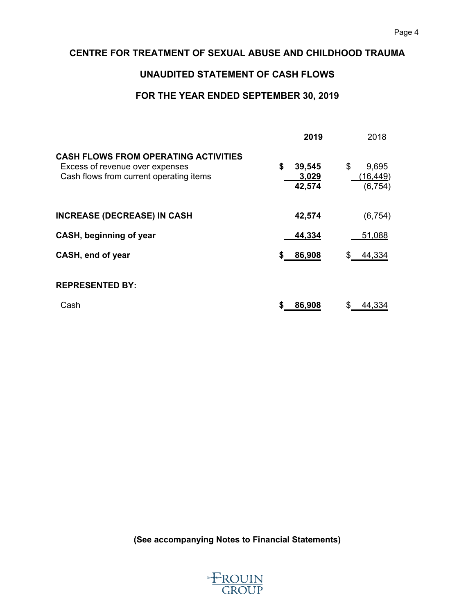# **UNAUDITED STATEMENT OF CASH FLOWS**

# **FOR THE YEAR ENDED SEPTEMBER 30, 2019**

|                                                                                                                           | 2019                            | 2018                                       |
|---------------------------------------------------------------------------------------------------------------------------|---------------------------------|--------------------------------------------|
| <b>CASH FLOWS FROM OPERATING ACTIVITIES</b><br>Excess of revenue over expenses<br>Cash flows from current operating items | \$<br>39,545<br>3,029<br>42,574 | \$<br>9,695<br><u>(16,449)</u><br>(6, 754) |
| <b>INCREASE (DECREASE) IN CASH</b>                                                                                        | 42,574                          | (6, 754)                                   |
| CASH, beginning of year                                                                                                   | 44,334                          | 51,088                                     |
| CASH, end of year                                                                                                         | 86,908<br>\$                    | 44,334                                     |
| <b>REPRESENTED BY:</b>                                                                                                    |                                 |                                            |
| Cash                                                                                                                      | 86,908                          | 44.334                                     |

**(See accompanying Notes to Financial Statements)**

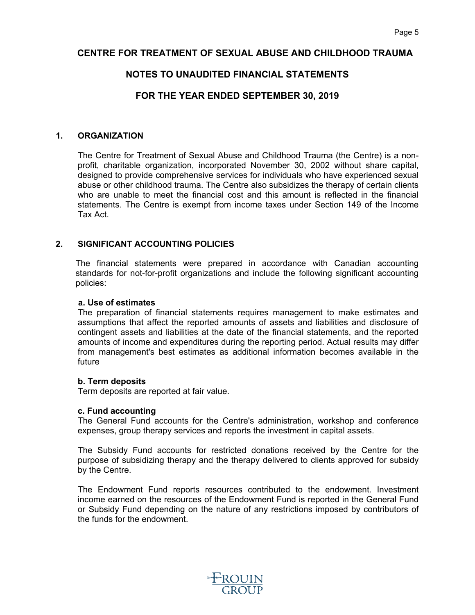# **NOTES TO UNAUDITED FINANCIAL STATEMENTS**

# **FOR THE YEAR ENDED SEPTEMBER 30, 2019**

#### **1. ORGANIZATION**

The Centre for Treatment of Sexual Abuse and Childhood Trauma (the Centre) is a nonprofit, charitable organization, incorporated November 30, 2002 without share capital, designed to provide comprehensive services for individuals who have experienced sexual abuse or other childhood trauma. The Centre also subsidizes the therapy of certain clients who are unable to meet the financial cost and this amount is reflected in the financial statements. The Centre is exempt from income taxes under Section 149 of the Income Tax Act.

### **2. SIGNIFICANT ACCOUNTING POLICIES**

The financial statements were prepared in accordance with Canadian accounting standards for not-for-profit organizations and include the following significant accounting policies:

#### **a. Use of estimates**

The preparation of financial statements requires management to make estimates and assumptions that affect the reported amounts of assets and liabilities and disclosure of contingent assets and liabilities at the date of the financial statements, and the reported amounts of income and expenditures during the reporting period. Actual results may differ from management's best estimates as additional information becomes available in the future

#### **b. Term deposits**

Term deposits are reported at fair value.

#### **c. Fund accounting**

The General Fund accounts for the Centre's administration, workshop and conference expenses, group therapy services and reports the investment in capital assets.

The Subsidy Fund accounts for restricted donations received by the Centre for the purpose of subsidizing therapy and the therapy delivered to clients approved for subsidy by the Centre.

The Endowment Fund reports resources contributed to the endowment. Investment income earned on the resources of the Endowment Fund is reported in the General Fund or Subsidy Fund depending on the nature of any restrictions imposed by contributors of the funds for the endowment.

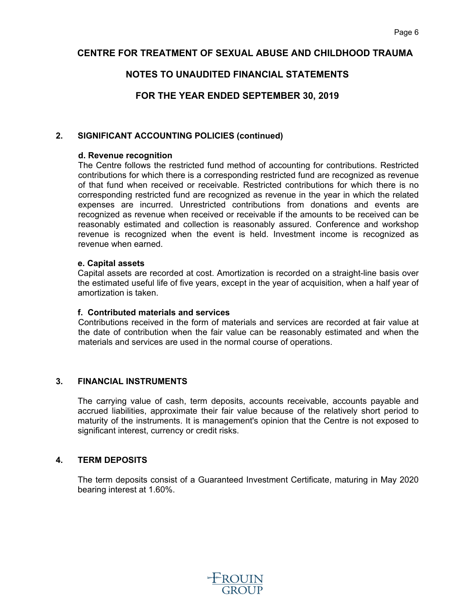# **NOTES TO UNAUDITED FINANCIAL STATEMENTS**

# **FOR THE YEAR ENDED SEPTEMBER 30, 2019**

### **2. SIGNIFICANT ACCOUNTING POLICIES (continued)**

#### **d. Revenue recognition**

The Centre follows the restricted fund method of accounting for contributions. Restricted contributions for which there is a corresponding restricted fund are recognized as revenue of that fund when received or receivable. Restricted contributions for which there is no corresponding restricted fund are recognized as revenue in the year in which the related expenses are incurred. Unrestricted contributions from donations and events are recognized as revenue when received or receivable if the amounts to be received can be reasonably estimated and collection is reasonably assured. Conference and workshop revenue is recognized when the event is held. Investment income is recognized as revenue when earned.

#### **e. Capital assets**

Capital assets are recorded at cost. Amortization is recorded on a straight-line basis over the estimated useful life of five years, except in the year of acquisition, when a half year of amortization is taken.

#### **f. Contributed materials and services**

Contributions received in the form of materials and services are recorded at fair value at the date of contribution when the fair value can be reasonably estimated and when the materials and services are used in the normal course of operations.

### **3. FINANCIAL INSTRUMENTS**

The carrying value of cash, term deposits, accounts receivable, accounts payable and accrued liabilities, approximate their fair value because of the relatively short period to maturity of the instruments. It is management's opinion that the Centre is not exposed to significant interest, currency or credit risks.

### **4. TERM DEPOSITS**

The term deposits consist of a Guaranteed Investment Certificate, maturing in May 2020 bearing interest at 1.60%.

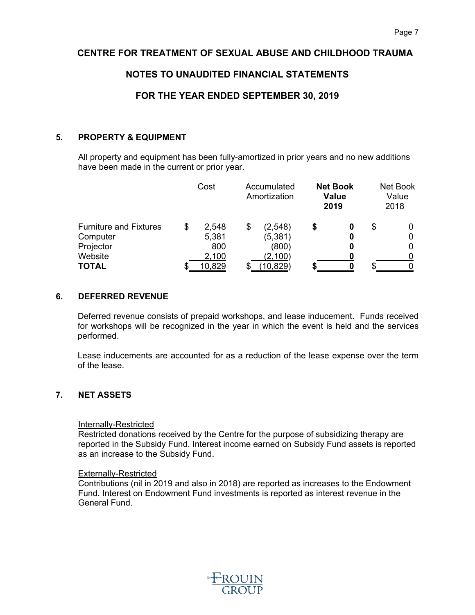# **NOTES TO UNAUDITED FINANCIAL STATEMENTS**

# **FOR THE YEAR ENDED SEPTEMBER 30, 2019**

#### **5. PROPERTY & EQUIPMENT**

All property and equipment has been fully-amortized in prior years and no new additions have been made in the current or prior year.

|                               | Cost        | Accumulated<br>Amortization |   | <b>Net Book</b><br><b>Value</b><br>2019 |   | Net Book<br>Value<br>2018 |
|-------------------------------|-------------|-----------------------------|---|-----------------------------------------|---|---------------------------|
| <b>Furniture and Fixtures</b> | \$<br>2,548 | \$<br>(2, 548)              | S | O                                       | S |                           |
| Computer                      | 5,381       | (5, 381)                    |   | 0                                       |   | 0                         |
| Projector                     | 800         | (800)                       |   | O                                       |   | 0                         |
| Website                       | 2,100       | (2,100)                     |   |                                         |   |                           |
| <b>TOTAL</b>                  | 10,829      | <u>10,829)</u>              |   |                                         |   |                           |

#### **6. DEFERRED REVENUE**

Deferred revenue consists of prepaid workshops, and lease inducement. Funds received for workshops will be recognized in the year in which the event is held and the services performed.

Lease inducements are accounted for as a reduction of the lease expense over the term of the lease.

# **7. NET ASSETS**

#### Internally-Restricted

Restricted donations received by the Centre for the purpose of subsidizing therapy are reported in the Subsidy Fund. Interest income earned on Subsidy Fund assets is reported as an increase to the Subsidy Fund.

#### Externally-Restricted

Contributions (nil in 2019 and also in 2018) are reported as increases to the Endowment Fund. Interest on Endowment Fund investments is reported as interest revenue in the General Fund.

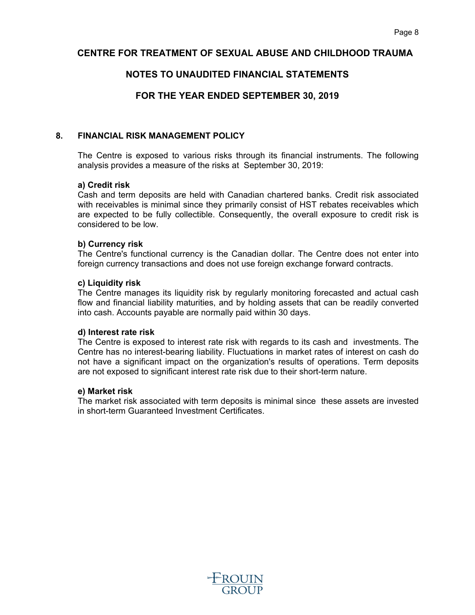# **NOTES TO UNAUDITED FINANCIAL STATEMENTS**

# **FOR THE YEAR ENDED SEPTEMBER 30, 2019**

#### **8. FINANCIAL RISK MANAGEMENT POLICY**

The Centre is exposed to various risks through its financial instruments. The following analysis provides a measure of the risks at September 30, 2019:

#### **a) Credit risk**

Cash and term deposits are held with Canadian chartered banks. Credit risk associated with receivables is minimal since they primarily consist of HST rebates receivables which are expected to be fully collectible. Consequently, the overall exposure to credit risk is considered to be low.

#### **b) Currency risk**

The Centre's functional currency is the Canadian dollar. The Centre does not enter into foreign currency transactions and does not use foreign exchange forward contracts.

#### **c) Liquidity risk**

The Centre manages its liquidity risk by regularly monitoring forecasted and actual cash flow and financial liability maturities, and by holding assets that can be readily converted into cash. Accounts payable are normally paid within 30 days.

#### **d) Interest rate risk**

The Centre is exposed to interest rate risk with regards to its cash and investments. The Centre has no interest-bearing liability. Fluctuations in market rates of interest on cash do not have a significant impact on the organization's results of operations. Term deposits are not exposed to significant interest rate risk due to their short-term nature.

#### **e) Market risk**

The market risk associated with term deposits is minimal since these assets are invested in short-term Guaranteed Investment Certificates.

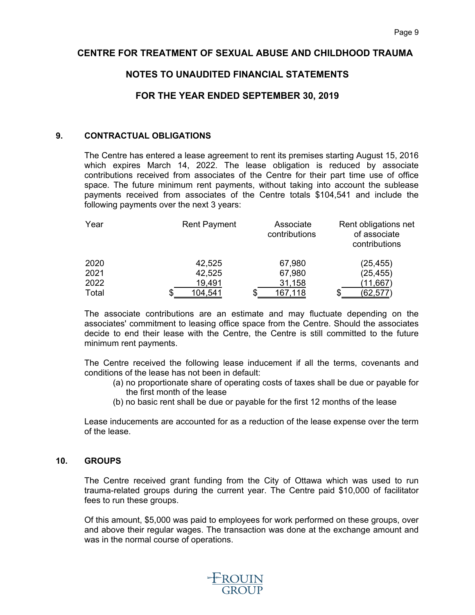# **NOTES TO UNAUDITED FINANCIAL STATEMENTS**

# **FOR THE YEAR ENDED SEPTEMBER 30, 2019**

#### **9. CONTRACTUAL OBLIGATIONS**

The Centre has entered a lease agreement to rent its premises starting August 15, 2016 which expires March 14, 2022. The lease obligation is reduced by associate contributions received from associates of the Centre for their part time use of office space. The future minimum rent payments, without taking into account the sublease payments received from associates of the Centre totals \$104,541 and include the following payments over the next 3 years:

| Year  | <b>Rent Payment</b> | Associate<br>contributions | Rent obligations net<br>of associate<br>contributions |
|-------|---------------------|----------------------------|-------------------------------------------------------|
| 2020  | 42,525              | 67,980                     | (25, 455)                                             |
| 2021  | 42,525              | 67,980                     | (25, 455)                                             |
| 2022  | 19,491              | 31,158                     | <u>(11,667)</u>                                       |
| Total | 104,541             | 167,118                    | (62,57                                                |

The associate contributions are an estimate and may fluctuate depending on the associates' commitment to leasing office space from the Centre. Should the associates decide to end their lease with the Centre, the Centre is still committed to the future minimum rent payments.

The Centre received the following lease inducement if all the terms, covenants and conditions of the lease has not been in default:

- (a) no proportionate share of operating costs of taxes shall be due or payable for the first month of the lease
- (b) no basic rent shall be due or payable for the first 12 months of the lease

Lease inducements are accounted for as a reduction of the lease expense over the term of the lease.

#### **10. GROUPS**

The Centre received grant funding from the City of Ottawa which was used to run trauma-related groups during the current year. The Centre paid \$10,000 of facilitator fees to run these groups.

Of this amount, \$5,000 was paid to employees for work performed on these groups, over and above their regular wages. The transaction was done at the exchange amount and was in the normal course of operations.